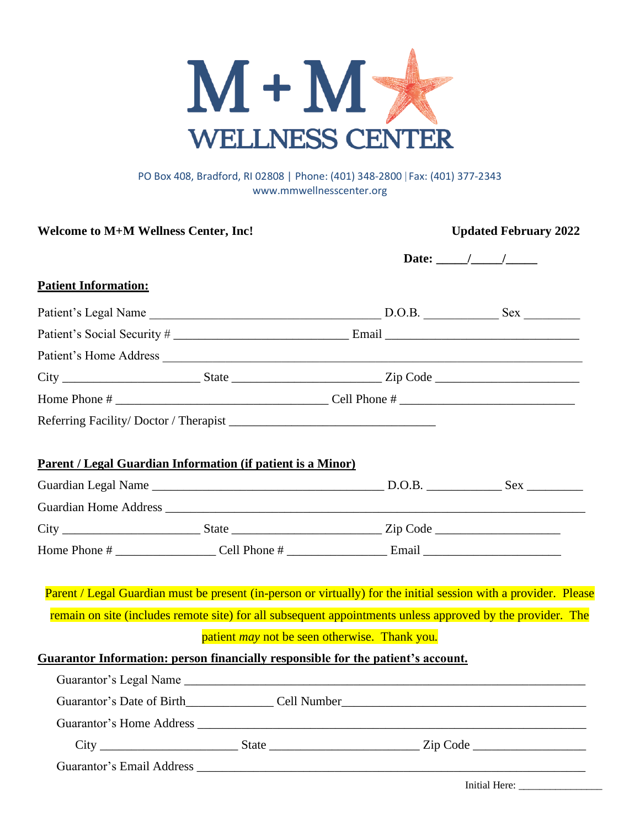

#### PO Box 408, Bradford, RI 02808 | Phone: (401) 348-2800 | Fax: (401) 377-2343 [www.mmwellnesscenter.org](http://www.mmwellnesscenter.org/)

| <b>Welcome to M+M Wellness Center, Inc!</b>                                                                      |  |                                                      | <b>Updated February 2022</b>                                                                               |  |
|------------------------------------------------------------------------------------------------------------------|--|------------------------------------------------------|------------------------------------------------------------------------------------------------------------|--|
|                                                                                                                  |  |                                                      | Date: $\frac{\sqrt{2}}{2}$                                                                                 |  |
| <b>Patient Information:</b>                                                                                      |  |                                                      |                                                                                                            |  |
|                                                                                                                  |  |                                                      |                                                                                                            |  |
|                                                                                                                  |  |                                                      |                                                                                                            |  |
|                                                                                                                  |  |                                                      |                                                                                                            |  |
|                                                                                                                  |  |                                                      |                                                                                                            |  |
|                                                                                                                  |  |                                                      |                                                                                                            |  |
|                                                                                                                  |  |                                                      |                                                                                                            |  |
| Parent / Legal Guardian Information (if patient is a Minor)                                                      |  |                                                      |                                                                                                            |  |
|                                                                                                                  |  |                                                      |                                                                                                            |  |
|                                                                                                                  |  |                                                      |                                                                                                            |  |
|                                                                                                                  |  |                                                      |                                                                                                            |  |
|                                                                                                                  |  |                                                      |                                                                                                            |  |
| Parent / Legal Guardian must be present (in-person or virtually) for the initial session with a provider. Please |  |                                                      |                                                                                                            |  |
|                                                                                                                  |  |                                                      | remain on site (includes remote site) for all subsequent appointments unless approved by the provider. The |  |
|                                                                                                                  |  | patient <i>may</i> not be seen otherwise. Thank you. |                                                                                                            |  |
| Guarantor Information: person financially responsible for the patient's account.                                 |  |                                                      |                                                                                                            |  |
|                                                                                                                  |  |                                                      |                                                                                                            |  |
|                                                                                                                  |  |                                                      |                                                                                                            |  |
|                                                                                                                  |  |                                                      |                                                                                                            |  |
|                                                                                                                  |  |                                                      |                                                                                                            |  |
|                                                                                                                  |  |                                                      |                                                                                                            |  |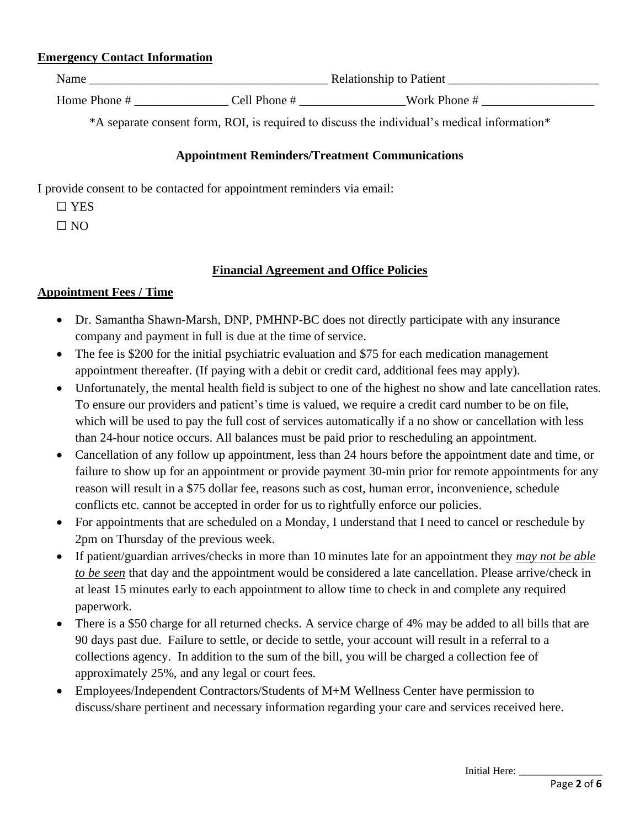### **Emergency Contact Information**

| Name         |              | <b>Relationship to Patient</b> |  |
|--------------|--------------|--------------------------------|--|
| Home Phone # | Cell Phone # | Work Phone #                   |  |

\*A separate consent form, ROI, is required to discuss the individual's medical information\*

### **Appointment Reminders/Treatment Communications**

I provide consent to be contacted for appointment reminders via email:

☐ YES

 $\Box$  NO

## **Financial Agreement and Office Policies**

### **Appointment Fees / Time**

- Dr. Samantha Shawn-Marsh, DNP, PMHNP-BC does not directly participate with any insurance company and payment in full is due at the time of service.
- The fee is \$200 for the initial psychiatric evaluation and \$75 for each medication management appointment thereafter. (If paying with a debit or credit card, additional fees may apply).
- Unfortunately, the mental health field is subject to one of the highest no show and late cancellation rates. To ensure our providers and patient's time is valued, we require a credit card number to be on file, which will be used to pay the full cost of services automatically if a no show or cancellation with less than 24-hour notice occurs. All balances must be paid prior to rescheduling an appointment.
- Cancellation of any follow up appointment, less than 24 hours before the appointment date and time, or failure to show up for an appointment or provide payment 30-min prior for remote appointments for any reason will result in a \$75 dollar fee, reasons such as cost, human error, inconvenience, schedule conflicts etc. cannot be accepted in order for us to rightfully enforce our policies.
- For appointments that are scheduled on a Monday, I understand that I need to cancel or reschedule by 2pm on Thursday of the previous week.
- If patient/guardian arrives/checks in more than 10 minutes late for an appointment they *may not be able to be seen* that day and the appointment would be considered a late cancellation. Please arrive/check in at least 15 minutes early to each appointment to allow time to check in and complete any required paperwork.
- There is a \$50 charge for all returned checks. A service charge of 4% may be added to all bills that are 90 days past due. Failure to settle, or decide to settle, your account will result in a referral to a collections agency. In addition to the sum of the bill, you will be charged a collection fee of approximately 25%, and any legal or court fees.
- Employees/Independent Contractors/Students of M+M Wellness Center have permission to discuss/share pertinent and necessary information regarding your care and services received here.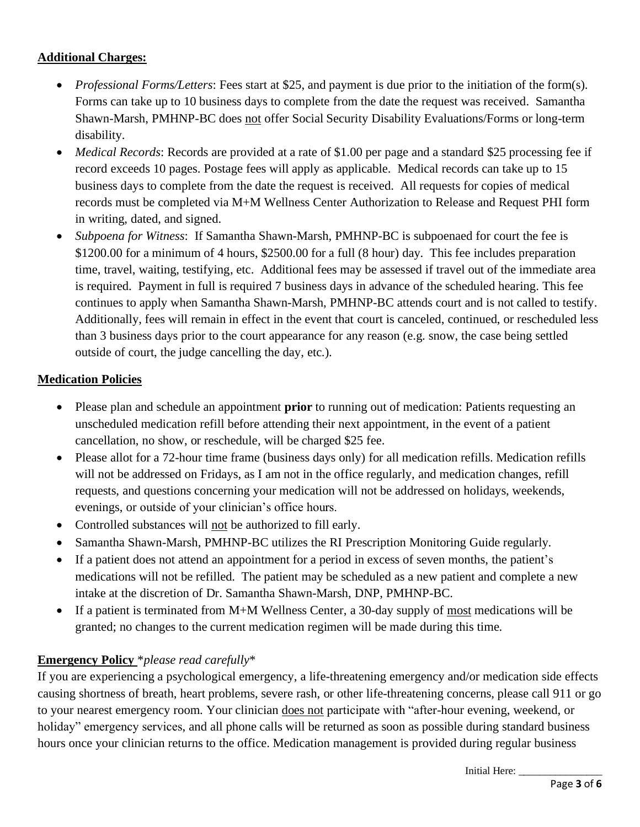## **Additional Charges:**

- *Professional Forms/Letters*: Fees start at \$25, and payment is due prior to the initiation of the form(s). Forms can take up to 10 business days to complete from the date the request was received. Samantha Shawn-Marsh, PMHNP-BC does not offer Social Security Disability Evaluations/Forms or long-term disability.
- *Medical Records*: Records are provided at a rate of \$1.00 per page and a standard \$25 processing fee if record exceeds 10 pages. Postage fees will apply as applicable. Medical records can take up to 15 business days to complete from the date the request is received. All requests for copies of medical records must be completed via M+M Wellness Center Authorization to Release and Request PHI form in writing, dated, and signed.
- *Subpoena for Witness*: If Samantha Shawn-Marsh, PMHNP-BC is subpoenaed for court the fee is \$1200.00 for a minimum of 4 hours, \$2500.00 for a full (8 hour) day. This fee includes preparation time, travel, waiting, testifying, etc. Additional fees may be assessed if travel out of the immediate area is required. Payment in full is required 7 business days in advance of the scheduled hearing. This fee continues to apply when Samantha Shawn-Marsh, PMHNP-BC attends court and is not called to testify. Additionally, fees will remain in effect in the event that court is canceled, continued, or rescheduled less than 3 business days prior to the court appearance for any reason (e.g. snow, the case being settled outside of court, the judge cancelling the day, etc.).

# **Medication Policies**

- Please plan and schedule an appointment **prior** to running out of medication: Patients requesting an unscheduled medication refill before attending their next appointment, in the event of a patient cancellation, no show, or reschedule, will be charged \$25 fee.
- Please allot for a 72-hour time frame (business days only) for all medication refills. Medication refills will not be addressed on Fridays, as I am not in the office regularly, and medication changes, refill requests, and questions concerning your medication will not be addressed on holidays, weekends, evenings, or outside of your clinician's office hours.
- Controlled substances will not be authorized to fill early.
- Samantha Shawn-Marsh, PMHNP-BC utilizes the RI Prescription Monitoring Guide regularly.
- If a patient does not attend an appointment for a period in excess of seven months, the patient's medications will not be refilled. The patient may be scheduled as a new patient and complete a new intake at the discretion of Dr. Samantha Shawn-Marsh, DNP, PMHNP-BC.
- If a patient is terminated from M+M Wellness Center, a 30-day supply of most medications will be granted; no changes to the current medication regimen will be made during this time.

# **Emergency Policy** \**please read carefully*\*

If you are experiencing a psychological emergency, a life-threatening emergency and/or medication side effects causing shortness of breath, heart problems, severe rash, or other life-threatening concerns, please call 911 or go to your nearest emergency room. Your clinician does not participate with "after-hour evening, weekend, or holiday" emergency services, and all phone calls will be returned as soon as possible during standard business hours once your clinician returns to the office. Medication management is provided during regular business

Initial Here: \_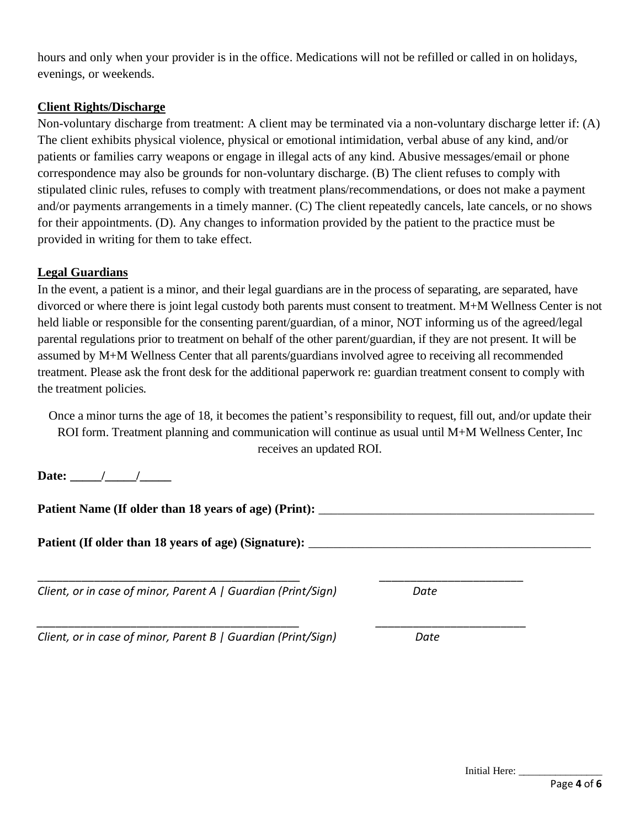hours and only when your provider is in the office. Medications will not be refilled or called in on holidays, evenings, or weekends.

### **Client Rights/Discharge**

Non-voluntary discharge from treatment: A client may be terminated via a non-voluntary discharge letter if: (A) The client exhibits physical violence, physical or emotional intimidation, verbal abuse of any kind, and/or patients or families carry weapons or engage in illegal acts of any kind. Abusive messages/email or phone correspondence may also be grounds for non-voluntary discharge. (B) The client refuses to comply with stipulated clinic rules, refuses to comply with treatment plans/recommendations, or does not make a payment and/or payments arrangements in a timely manner. (C) The client repeatedly cancels, late cancels, or no shows for their appointments. (D). Any changes to information provided by the patient to the practice must be provided in writing for them to take effect.

## **Legal Guardians**

In the event, a patient is a minor, and their legal guardians are in the process of separating, are separated, have divorced or where there is joint legal custody both parents must consent to treatment. M+M Wellness Center is not held liable or responsible for the consenting parent/guardian, of a minor, NOT informing us of the agreed/legal parental regulations prior to treatment on behalf of the other parent/guardian, if they are not present. It will be assumed by M+M Wellness Center that all parents/guardians involved agree to receiving all recommended treatment. Please ask the front desk for the additional paperwork re: guardian treatment consent to comply with the treatment policies.

Once a minor turns the age of 18, it becomes the patient's responsibility to request, fill out, and/or update their ROI form. Treatment planning and communication will continue as usual until M+M Wellness Center, Inc receives an updated ROI.

**Date:** / /

**Patient Name (If older than 18 years of age) (Print):** \_\_\_\_\_\_\_\_\_\_\_\_\_\_\_\_\_\_\_\_\_\_\_\_\_\_\_\_\_\_\_\_\_\_\_\_\_\_\_\_\_\_\_\_ **Patient (If older than 18 years of age) (Signature):** \_\_\_\_\_\_\_\_\_\_\_\_\_\_\_\_\_\_\_\_\_\_\_\_\_\_\_\_\_\_\_\_\_\_\_\_\_\_\_\_\_\_\_\_\_ \_\_\_\_\_\_\_\_\_\_\_\_\_\_\_\_\_\_\_\_\_\_\_\_\_\_\_\_\_\_\_\_\_\_\_\_\_\_\_\_\_\_ \_\_\_\_\_\_\_\_\_\_\_\_\_\_\_\_\_\_\_\_\_\_\_ *Client, or in case of minor, Parent A | Guardian (Print/Sign) Date \_\_\_\_\_\_\_\_\_\_\_\_\_\_\_\_\_\_\_\_\_\_\_\_\_\_\_\_\_\_\_\_\_\_\_\_\_\_\_\_\_\_ \_\_\_\_\_\_\_\_\_\_\_\_\_\_\_\_\_\_\_\_\_\_\_\_*

*Client, or in case of minor, Parent B | Guardian (Print/Sign) Date*

Initial Here: \_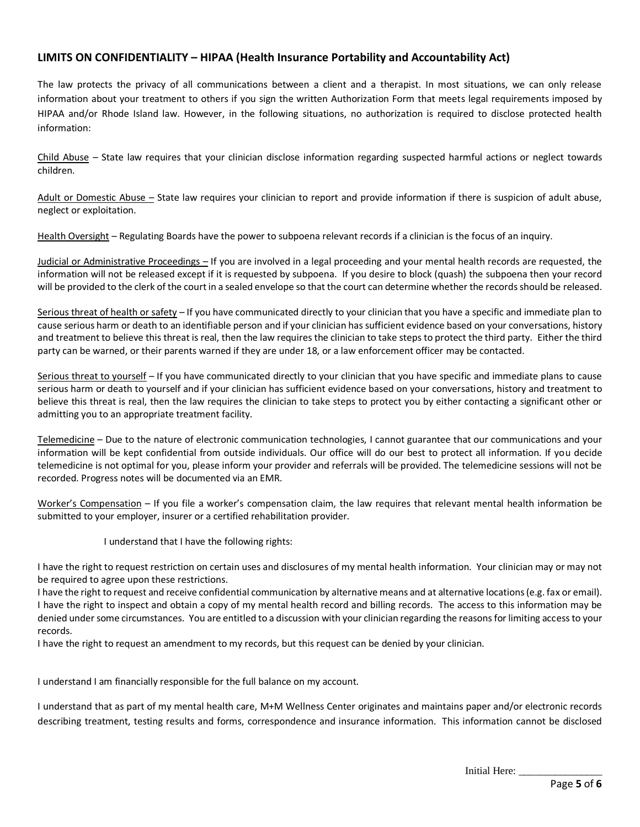#### **LIMITS ON CONFIDENTIALITY – HIPAA (Health Insurance Portability and Accountability Act)**

The law protects the privacy of all communications between a client and a therapist. In most situations, we can only release information about your treatment to others if you sign the written Authorization Form that meets legal requirements imposed by HIPAA and/or Rhode Island law. However, in the following situations, no authorization is required to disclose protected health information:

Child Abuse – State law requires that your clinician disclose information regarding suspected harmful actions or neglect towards children.

Adult or Domestic Abuse – State law requires your clinician to report and provide information if there is suspicion of adult abuse, neglect or exploitation.

Health Oversight – Regulating Boards have the power to subpoena relevant records if a clinician is the focus of an inquiry.

Judicial or Administrative Proceedings – If you are involved in a legal proceeding and your mental health records are requested, the information will not be released except if it is requested by subpoena. If you desire to block (quash) the subpoena then your record will be provided to the clerk of the court in a sealed envelope so that the court can determine whether the records should be released.

Serious threat of health or safety – If you have communicated directly to your clinician that you have a specific and immediate plan to cause serious harm or death to an identifiable person and if your clinician has sufficient evidence based on your conversations, history and treatment to believe this threat is real, then the law requires the clinician to take steps to protect the third party. Either the third party can be warned, or their parents warned if they are under 18, or a law enforcement officer may be contacted.

Serious threat to yourself – If you have communicated directly to your clinician that you have specific and immediate plans to cause serious harm or death to yourself and if your clinician has sufficient evidence based on your conversations, history and treatment to believe this threat is real, then the law requires the clinician to take steps to protect you by either contacting a significant other or admitting you to an appropriate treatment facility.

Telemedicine – Due to the nature of electronic communication technologies, I cannot guarantee that our communications and your information will be kept confidential from outside individuals. Our office will do our best to protect all information. If you decide telemedicine is not optimal for you, please inform your provider and referrals will be provided. The telemedicine sessions will not be recorded. Progress notes will be documented via an EMR.

Worker's Compensation – If you file a worker's compensation claim, the law requires that relevant mental health information be submitted to your employer, insurer or a certified rehabilitation provider.

I understand that I have the following rights:

I have the right to request restriction on certain uses and disclosures of my mental health information. Your clinician may or may not be required to agree upon these restrictions.

I have the right to request and receive confidential communication by alternative means and at alternative locations (e.g. fax or email). I have the right to inspect and obtain a copy of my mental health record and billing records. The access to this information may be denied under some circumstances. You are entitled to a discussion with your clinician regarding the reasons for limiting access to your records.

I have the right to request an amendment to my records, but this request can be denied by your clinician.

I understand I am financially responsible for the full balance on my account.

I understand that as part of my mental health care, M+M Wellness Center originates and maintains paper and/or electronic records describing treatment, testing results and forms, correspondence and insurance information. This information cannot be disclosed